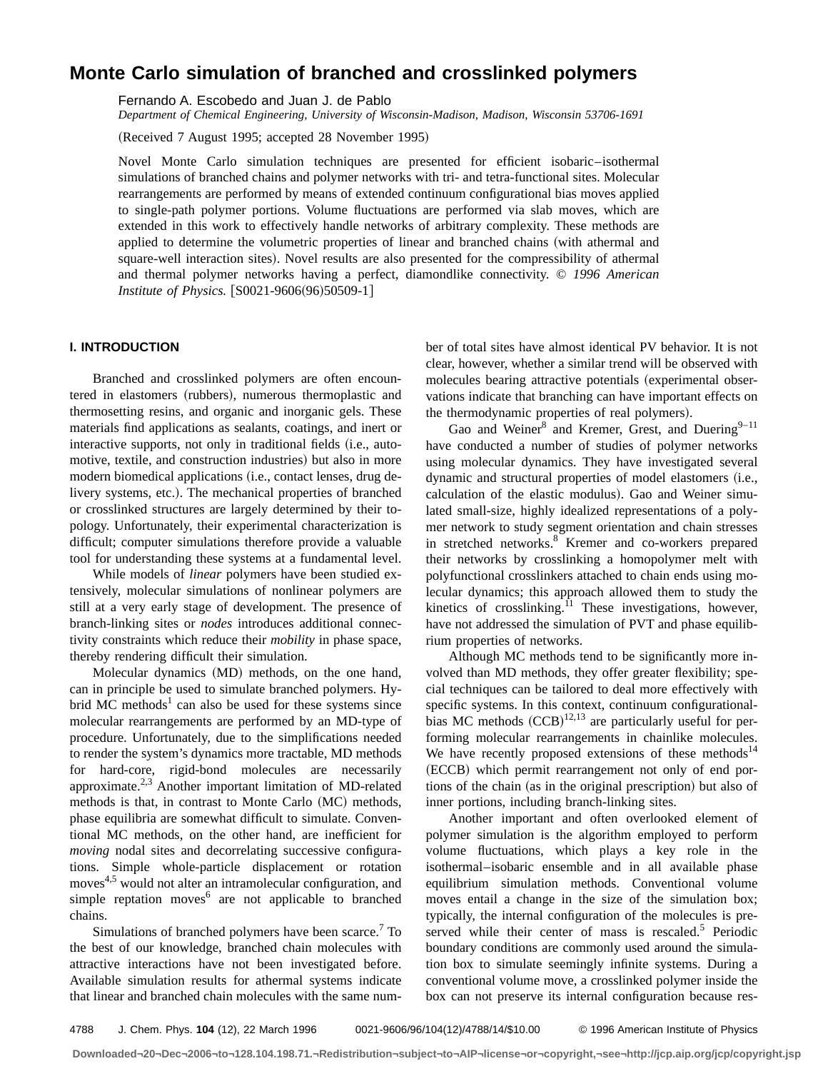# **Monte Carlo simulation of branched and crosslinked polymers**

Fernando A. Escobedo and Juan J. de Pablo

*Department of Chemical Engineering, University of Wisconsin-Madison, Madison, Wisconsin 53706-1691*

(Received 7 August 1995; accepted 28 November 1995)

Novel Monte Carlo simulation techniques are presented for efficient isobaric–isothermal simulations of branched chains and polymer networks with tri- and tetra-functional sites. Molecular rearrangements are performed by means of extended continuum configurational bias moves applied to single-path polymer portions. Volume fluctuations are performed via slab moves, which are extended in this work to effectively handle networks of arbitrary complexity. These methods are applied to determine the volumetric properties of linear and branched chains (with athermal and square-well interaction sites). Novel results are also presented for the compressibility of athermal and thermal polymer networks having a perfect, diamondlike connectivity. © *1996 American Institute of Physics.* [S0021-9606(96)50509-1]

# **I. INTRODUCTION**

Branched and crosslinked polymers are often encountered in elastomers (rubbers), numerous thermoplastic and thermosetting resins, and organic and inorganic gels. These materials find applications as sealants, coatings, and inert or interactive supports, not only in traditional fields (i.e., automotive, textile, and construction industries) but also in more modern biomedical applications (i.e., contact lenses, drug delivery systems, etc.). The mechanical properties of branched or crosslinked structures are largely determined by their topology. Unfortunately, their experimental characterization is difficult; computer simulations therefore provide a valuable tool for understanding these systems at a fundamental level.

While models of *linear* polymers have been studied extensively, molecular simulations of nonlinear polymers are still at a very early stage of development. The presence of branch-linking sites or *nodes* introduces additional connectivity constraints which reduce their *mobility* in phase space, thereby rendering difficult their simulation.

Molecular dynamics (MD) methods, on the one hand, can in principle be used to simulate branched polymers. Hybrid MC methods<sup>1</sup> can also be used for these systems since molecular rearrangements are performed by an MD-type of procedure. Unfortunately, due to the simplifications needed to render the system's dynamics more tractable, MD methods for hard-core, rigid-bond molecules are necessarily approximate.2,3 Another important limitation of MD-related methods is that, in contrast to Monte Carlo (MC) methods, phase equilibria are somewhat difficult to simulate. Conventional MC methods, on the other hand, are inefficient for *moving* nodal sites and decorrelating successive configurations. Simple whole-particle displacement or rotation moves<sup>4,5</sup> would not alter an intramolecular configuration, and simple reptation moves $6$  are not applicable to branched chains.

Simulations of branched polymers have been scarce.<sup>7</sup> To the best of our knowledge, branched chain molecules with attractive interactions have not been investigated before. Available simulation results for athermal systems indicate that linear and branched chain molecules with the same number of total sites have almost identical PV behavior. It is not clear, however, whether a similar trend will be observed with molecules bearing attractive potentials (experimental observations indicate that branching can have important effects on the thermodynamic properties of real polymers).

Gao and Weiner<sup>8</sup> and Kremer, Grest, and Duering $9-11$ have conducted a number of studies of polymer networks using molecular dynamics. They have investigated several dynamic and structural properties of model elastomers (i.e., calculation of the elastic modulus). Gao and Weiner simulated small-size, highly idealized representations of a polymer network to study segment orientation and chain stresses in stretched networks.8 Kremer and co-workers prepared their networks by crosslinking a homopolymer melt with polyfunctional crosslinkers attached to chain ends using molecular dynamics; this approach allowed them to study the kinetics of crosslinking.<sup>11</sup> These investigations, however, have not addressed the simulation of PVT and phase equilibrium properties of networks.

Although MC methods tend to be significantly more involved than MD methods, they offer greater flexibility; special techniques can be tailored to deal more effectively with specific systems. In this context, continuum configurationalbias MC methods  $(CCB)^{12,13}$  are particularly useful for performing molecular rearrangements in chainlike molecules. We have recently proposed extensions of these methods<sup>14</sup> (ECCB) which permit rearrangement not only of end portions of the chain (as in the original prescription) but also of inner portions, including branch-linking sites.

Another important and often overlooked element of polymer simulation is the algorithm employed to perform volume fluctuations, which plays a key role in the isothermal–isobaric ensemble and in all available phase equilibrium simulation methods. Conventional volume moves entail a change in the size of the simulation box; typically, the internal configuration of the molecules is preserved while their center of mass is rescaled.<sup>5</sup> Periodic boundary conditions are commonly used around the simulation box to simulate seemingly infinite systems. During a conventional volume move, a crosslinked polymer inside the box can not preserve its internal configuration because res-

**Downloaded¬20¬Dec¬2006¬to¬128.104.198.71.¬Redistribution¬subject¬to¬AIP¬license¬or¬copyright,¬see¬http://jcp.aip.org/jcp/copyright.jsp**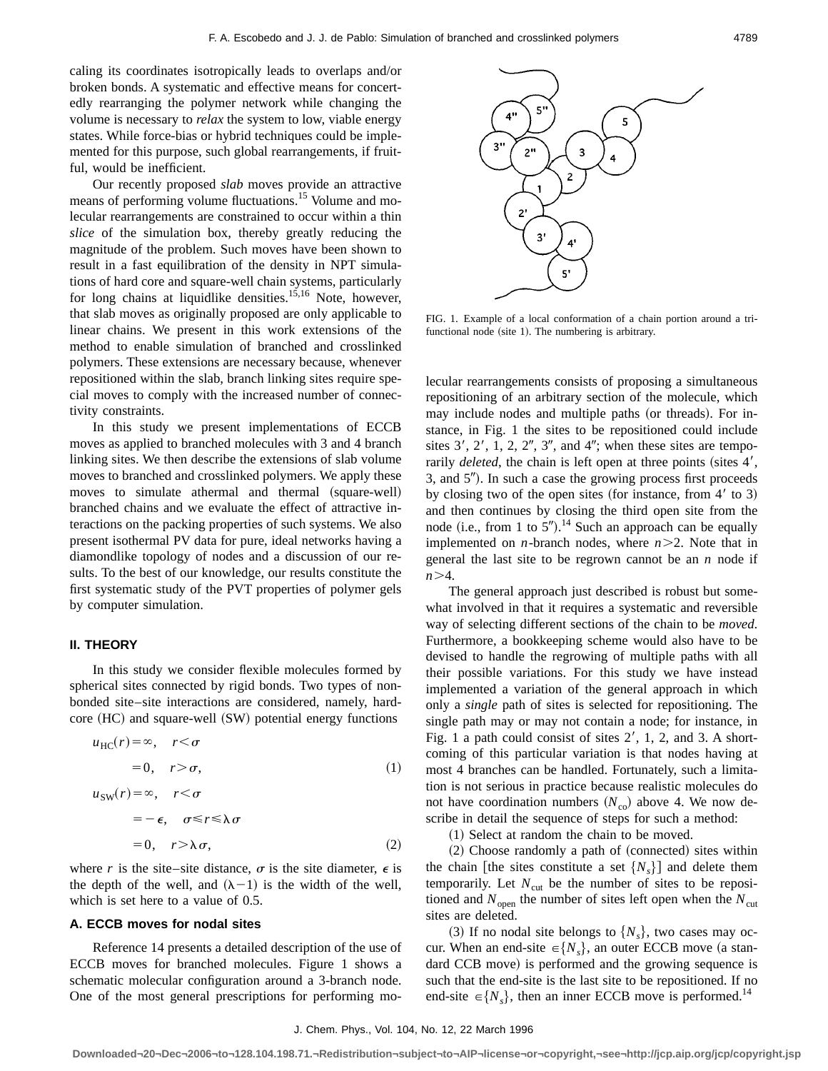caling its coordinates isotropically leads to overlaps and/or broken bonds. A systematic and effective means for concertedly rearranging the polymer network while changing the volume is necessary to *relax* the system to low, viable energy states. While force-bias or hybrid techniques could be implemented for this purpose, such global rearrangements, if fruitful, would be inefficient.

Our recently proposed *slab* moves provide an attractive means of performing volume fluctuations.<sup>15</sup> Volume and molecular rearrangements are constrained to occur within a thin *slice* of the simulation box, thereby greatly reducing the magnitude of the problem. Such moves have been shown to result in a fast equilibration of the density in NPT simulations of hard core and square-well chain systems, particularly for long chains at liquidlike densities.<sup>15,16</sup> Note, however, that slab moves as originally proposed are only applicable to linear chains. We present in this work extensions of the method to enable simulation of branched and crosslinked polymers. These extensions are necessary because, whenever repositioned within the slab, branch linking sites require special moves to comply with the increased number of connectivity constraints.

In this study we present implementations of ECCB moves as applied to branched molecules with 3 and 4 branch linking sites. We then describe the extensions of slab volume moves to branched and crosslinked polymers. We apply these moves to simulate athermal and thermal (square-well) branched chains and we evaluate the effect of attractive interactions on the packing properties of such systems. We also present isothermal PV data for pure, ideal networks having a diamondlike topology of nodes and a discussion of our results. To the best of our knowledge, our results constitute the first systematic study of the PVT properties of polymer gels by computer simulation.

## **II. THEORY**

In this study we consider flexible molecules formed by spherical sites connected by rigid bonds. Two types of nonbonded site–site interactions are considered, namely, hard $core (HC)$  and square-well  $(SW)$  potential energy functions

$$
u_{HC}(r) = \infty, \quad r < \sigma
$$
  
= 0, \quad r > \sigma,  

$$
u_{SW}(r) = \infty, \quad r < \sigma
$$
  
= -\epsilon, \quad \sigma \leq r \leq \lambda \sigma

$$
=0, \quad r \ge \lambda \sigma,\tag{2}
$$

where *r* is the site–site distance,  $\sigma$  is the site diameter,  $\epsilon$  is the depth of the well, and  $(\lambda - 1)$  is the width of the well, which is set here to a value of 0.5.

# **A. ECCB moves for nodal sites**

Reference 14 presents a detailed description of the use of ECCB moves for branched molecules. Figure 1 shows a schematic molecular configuration around a 3-branch node. One of the most general prescriptions for performing mo-

5  $3"$  $2<sup>n</sup>$  $\overline{\mathbf{3}}$  $2'$  $\mathbf{R}$ 

FIG. 1. Example of a local conformation of a chain portion around a trifunctional node (site 1). The numbering is arbitrary.

lecular rearrangements consists of proposing a simultaneous repositioning of an arbitrary section of the molecule, which may include nodes and multiple paths (or threads). For instance, in Fig. 1 the sites to be repositioned could include sites  $3', 2', 1, 2, 2'', 3''$ , and  $4''$ ; when these sites are temporarily *deleted*, the chain is left open at three points (sites 4', 3, and  $5$ "). In such a case the growing process first proceeds by closing two of the open sites (for instance, from  $4'$  to 3) and then continues by closing the third open site from the node (i.e., from 1 to  $5'$ ).<sup>14</sup> Such an approach can be equally implemented on *n*-branch nodes, where  $n > 2$ . Note that in general the last site to be regrown cannot be an *n* node if  $n > 4$ .

The general approach just described is robust but somewhat involved in that it requires a systematic and reversible way of selecting different sections of the chain to be *moved*. Furthermore, a bookkeeping scheme would also have to be devised to handle the regrowing of multiple paths with all their possible variations. For this study we have instead implemented a variation of the general approach in which only a *single* path of sites is selected for repositioning. The single path may or may not contain a node; for instance, in Fig. 1 a path could consist of sites  $2'$ , 1, 2, and 3. A shortcoming of this particular variation is that nodes having at most 4 branches can be handled. Fortunately, such a limitation is not serious in practice because realistic molecules do not have coordination numbers  $(N_{\text{co}})$  above 4. We now describe in detail the sequence of steps for such a method:

 $(1)$  Select at random the chain to be moved.

 $(2)$  Choose randomly a path of  $(connected)$  sites within the chain [the sites constitute a set  ${N<sub>s</sub>}$ ] and delete them temporarily. Let  $N<sub>cut</sub>$  be the number of sites to be repositioned and  $N_{open}$  the number of sites left open when the  $N_{\text{cut}}$ sites are deleted.

 $(3)$  If no nodal site belongs to  ${N<sub>s</sub>}$ , two cases may occur. When an end-site  $\in \{N_s\}$ , an outer ECCB move (a standard CCB move) is performed and the growing sequence is such that the end-site is the last site to be repositioned. If no end-site  $\in \{N_s\}$ , then an inner ECCB move is performed.<sup>14</sup>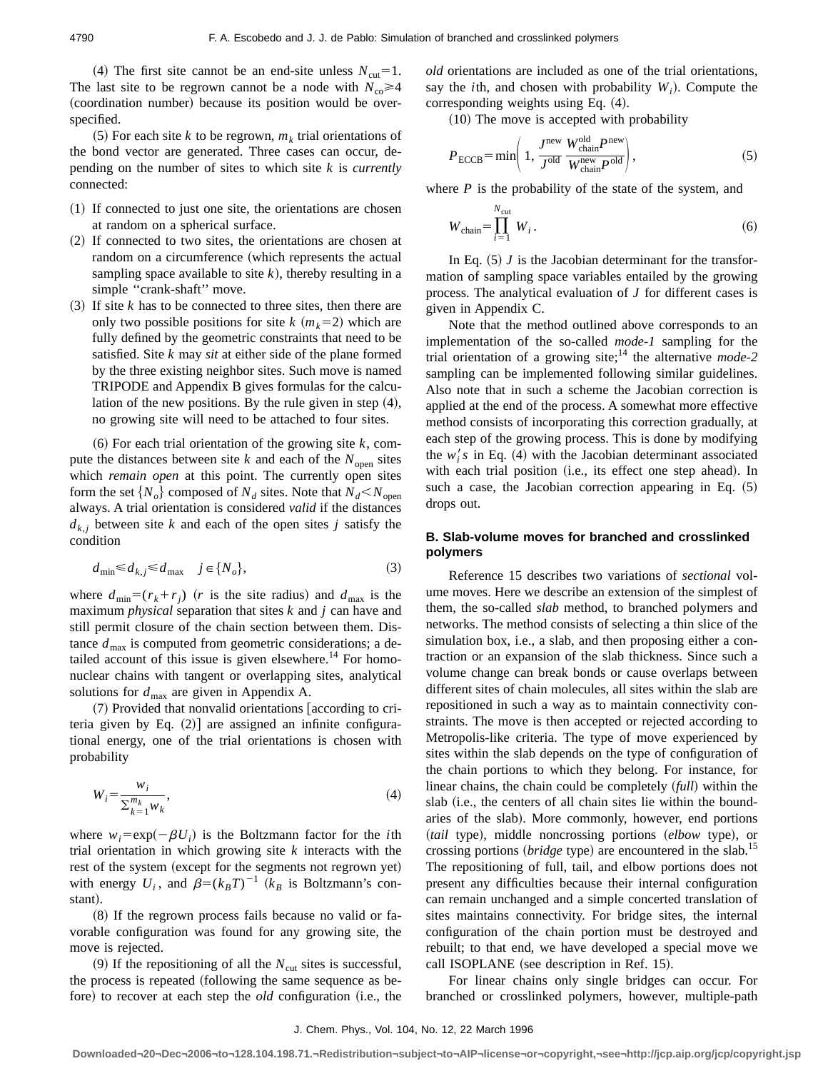(4) The first site cannot be an end-site unless  $N_{\text{cut}}=1$ . The last site to be regrown cannot be a node with  $N_{\text{co}} \geq 4$ (coordination number) because its position would be overspecified.

 $(5)$  For each site *k* to be regrown,  $m_k$  trial orientations of the bond vector are generated. Three cases can occur, depending on the number of sites to which site *k* is *currently* connected:

- $(1)$  If connected to just one site, the orientations are chosen at random on a spherical surface.
- $(2)$  If connected to two sites, the orientations are chosen at random on a circumference (which represents the actual sampling space available to site  $k$ ), thereby resulting in a simple "crank-shaft" move.
- $(3)$  If site *k* has to be connected to three sites, then there are only two possible positions for site  $k$   $(m_k=2)$  which are fully defined by the geometric constraints that need to be satisfied. Site *k* may *sit* at either side of the plane formed by the three existing neighbor sites. Such move is named TRIPODE and Appendix B gives formulas for the calculation of the new positions. By the rule given in step  $(4)$ , no growing site will need to be attached to four sites.

 $(6)$  For each trial orientation of the growing site  $k$ , compute the distances between site  $k$  and each of the  $N_{open}$  sites which *remain open* at this point. The currently open sites form the set  $\{N_{o}\}\$ composed of  $N_{d}\$  sites. Note that  $N_{d}$ < $N_{\text{open}}$ always. A trial orientation is considered *valid* if the distances  $d_{k,i}$  between site *k* and each of the open sites *j* satisfy the condition

$$
d_{\min} \le d_{k,j} \le d_{\max} \quad j \in \{N_o\},\tag{3}
$$

where  $d_{\min} = (r_k + r_j)$  (*r* is the site radius) and  $d_{\max}$  is the maximum *physical* separation that sites *k* and *j* can have and still permit closure of the chain section between them. Distance  $d_{\text{max}}$  is computed from geometric considerations; a detailed account of this issue is given elsewhere.<sup>14</sup> For homonuclear chains with tangent or overlapping sites, analytical solutions for  $d_{\text{max}}$  are given in Appendix A.

 $(7)$  Provided that nonvalid orientations according to criteria given by Eq.  $(2)$  are assigned an infinite configurational energy, one of the trial orientations is chosen with probability

$$
W_i = \frac{w_i}{\sum_{k=1}^{m_k} w_k},
$$
\n(4)

where  $w_i = \exp(-\beta U_i)$  is the Boltzmann factor for the *i*th trial orientation in which growing site *k* interacts with the rest of the system (except for the segments not regrown yet) with energy  $U_i$ , and  $\beta = (k_B T)^{-1}$  ( $k_B$  is Boltzmann's constant).

 $(8)$  If the regrown process fails because no valid or favorable configuration was found for any growing site, the move is rejected.

 $(9)$  If the repositioning of all the  $N<sub>cut</sub>$  sites is successful, the process is repeated (following the same sequence as before) to recover at each step the *old* configuration (i.e., the *old* orientations are included as one of the trial orientations, say the *i*th, and chosen with probability  $W_i$ ). Compute the corresponding weights using Eq.  $(4)$ .

 $(10)$  The move is accepted with probability

$$
P_{\text{ECCB}} = \min\left(1, \frac{J^{\text{new}}}{J^{\text{old}}} \frac{W_{\text{chain}}^{\text{old}} P^{\text{new}}}{W_{\text{chain}}^{\text{new}} P^{\text{old}}}\right),\tag{5}
$$

where  $P$  is the probability of the state of the system, and

$$
W_{\text{chain}} = \prod_{i=1}^{N_{\text{cut}}} W_i \,. \tag{6}
$$

In Eq.  $(5)$  *J* is the Jacobian determinant for the transformation of sampling space variables entailed by the growing process. The analytical evaluation of *J* for different cases is given in Appendix C.

Note that the method outlined above corresponds to an implementation of the so-called *mode-1* sampling for the trial orientation of a growing site;14 the alternative *mode-2* sampling can be implemented following similar guidelines. Also note that in such a scheme the Jacobian correction is applied at the end of the process. A somewhat more effective method consists of incorporating this correction gradually, at each step of the growing process. This is done by modifying the  $w_i$ 's in Eq. (4) with the Jacobian determinant associated with each trial position (i.e., its effect one step ahead). In such a case, the Jacobian correction appearing in Eq.  $(5)$ drops out.

# **B. Slab-volume moves for branched and crosslinked polymers**

Reference 15 describes two variations of *sectional* volume moves. Here we describe an extension of the simplest of them, the so-called *slab* method, to branched polymers and networks. The method consists of selecting a thin slice of the simulation box, i.e., a slab, and then proposing either a contraction or an expansion of the slab thickness. Since such a volume change can break bonds or cause overlaps between different sites of chain molecules, all sites within the slab are repositioned in such a way as to maintain connectivity constraints. The move is then accepted or rejected according to Metropolis-like criteria. The type of move experienced by sites within the slab depends on the type of configuration of the chain portions to which they belong. For instance, for linear chains, the chain could be completely *(full)* within the slab (i.e., the centers of all chain sites lie within the boundaries of the slab). More commonly, however, end portions *(tail* type), middle noncrossing portions *(elbow* type), or crossing portions (*bridge* type) are encountered in the slab.<sup>15</sup> The repositioning of full, tail, and elbow portions does not present any difficulties because their internal configuration can remain unchanged and a simple concerted translation of sites maintains connectivity. For bridge sites, the internal configuration of the chain portion must be destroyed and rebuilt; to that end, we have developed a special move we call ISOPLANE (see description in Ref. 15).

For linear chains only single bridges can occur. For branched or crosslinked polymers, however, multiple-path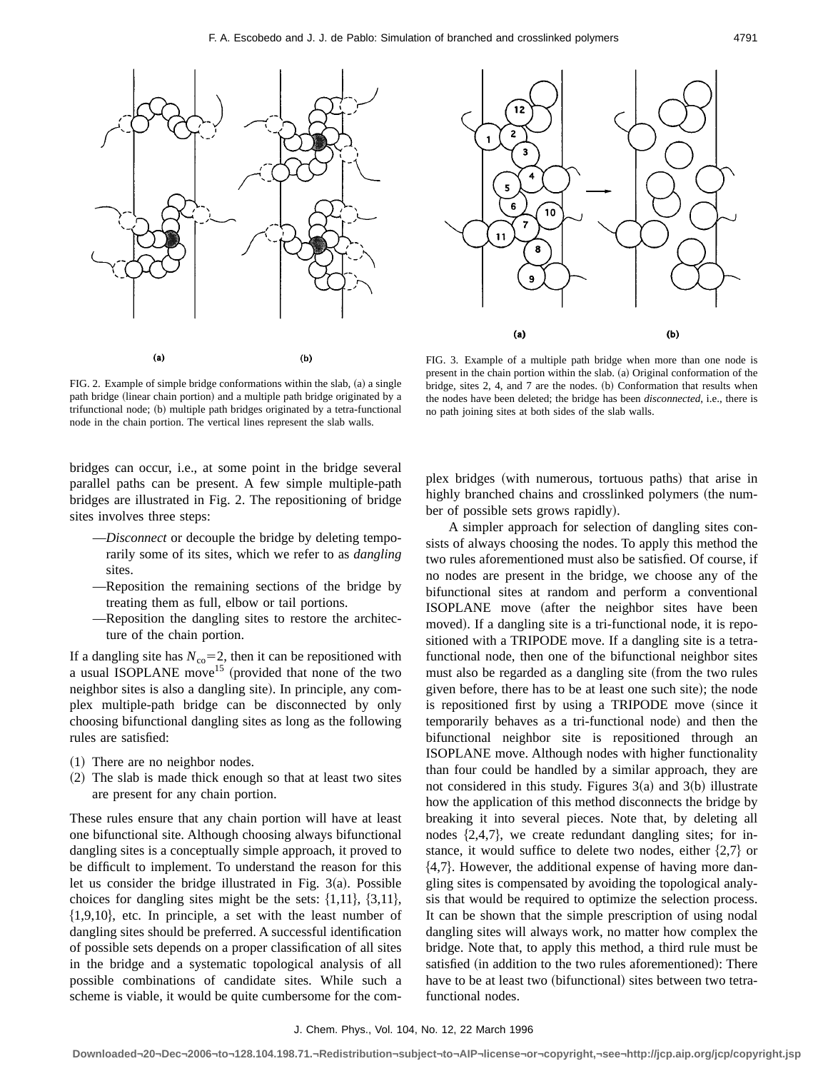



FIG. 2. Example of simple bridge conformations within the slab, (a) a single path bridge (linear chain portion) and a multiple path bridge originated by a trifunctional node; (b) multiple path bridges originated by a tetra-functional node in the chain portion. The vertical lines represent the slab walls.

FIG. 3. Example of a multiple path bridge when more than one node is present in the chain portion within the slab. (a) Original conformation of the bridge, sites  $2, 4$ , and  $7$  are the nodes. (b) Conformation that results when the nodes have been deleted; the bridge has been *disconnected*, i.e., there is no path joining sites at both sides of the slab walls.

bridges can occur, i.e., at some point in the bridge several parallel paths can be present. A few simple multiple-path bridges are illustrated in Fig. 2. The repositioning of bridge sites involves three steps:

- —*Disconnect* or decouple the bridge by deleting temporarily some of its sites, which we refer to as *dangling* sites.
- —Reposition the remaining sections of the bridge by treating them as full, elbow or tail portions.
- —Reposition the dangling sites to restore the architecture of the chain portion.

If a dangling site has  $N_{\rm co}=2$ , then it can be repositioned with a usual ISOPLANE move<sup>15</sup> (provided that none of the two neighbor sites is also a dangling site). In principle, any complex multiple-path bridge can be disconnected by only choosing bifunctional dangling sites as long as the following rules are satisfied:

- $(1)$  There are no neighbor nodes.
- $(2)$  The slab is made thick enough so that at least two sites are present for any chain portion.

These rules ensure that any chain portion will have at least one bifunctional site. Although choosing always bifunctional dangling sites is a conceptually simple approach, it proved to be difficult to implement. To understand the reason for this let us consider the bridge illustrated in Fig.  $3(a)$ . Possible choices for dangling sites might be the sets:  $\{1,11\}$ ,  $\{3,11\}$ ,  $\{1,9,10\}$ , etc. In principle, a set with the least number of dangling sites should be preferred. A successful identification of possible sets depends on a proper classification of all sites in the bridge and a systematic topological analysis of all possible combinations of candidate sites. While such a scheme is viable, it would be quite cumbersome for the complex bridges (with numerous, tortuous paths) that arise in highly branched chains and crosslinked polymers (the number of possible sets grows rapidly).

A simpler approach for selection of dangling sites consists of always choosing the nodes. To apply this method the two rules aforementioned must also be satisfied. Of course, if no nodes are present in the bridge, we choose any of the bifunctional sites at random and perform a conventional ISOPLANE move (after the neighbor sites have been moved). If a dangling site is a tri-functional node, it is repositioned with a TRIPODE move. If a dangling site is a tetrafunctional node, then one of the bifunctional neighbor sites must also be regarded as a dangling site (from the two rules given before, there has to be at least one such site); the node is repositioned first by using a TRIPODE move (since it temporarily behaves as a tri-functional node) and then the bifunctional neighbor site is repositioned through an ISOPLANE move. Although nodes with higher functionality than four could be handled by a similar approach, they are not considered in this study. Figures  $3(a)$  and  $3(b)$  illustrate how the application of this method disconnects the bridge by breaking it into several pieces. Note that, by deleting all nodes  $\{2,4,7\}$ , we create redundant dangling sites; for instance, it would suffice to delete two nodes, either  $\{2,7\}$  or  $\{4,7\}$ . However, the additional expense of having more dangling sites is compensated by avoiding the topological analysis that would be required to optimize the selection process. It can be shown that the simple prescription of using nodal dangling sites will always work, no matter how complex the bridge. Note that, to apply this method, a third rule must be satisfied (in addition to the two rules aforementioned): There have to be at least two (bifunctional) sites between two tetrafunctional nodes.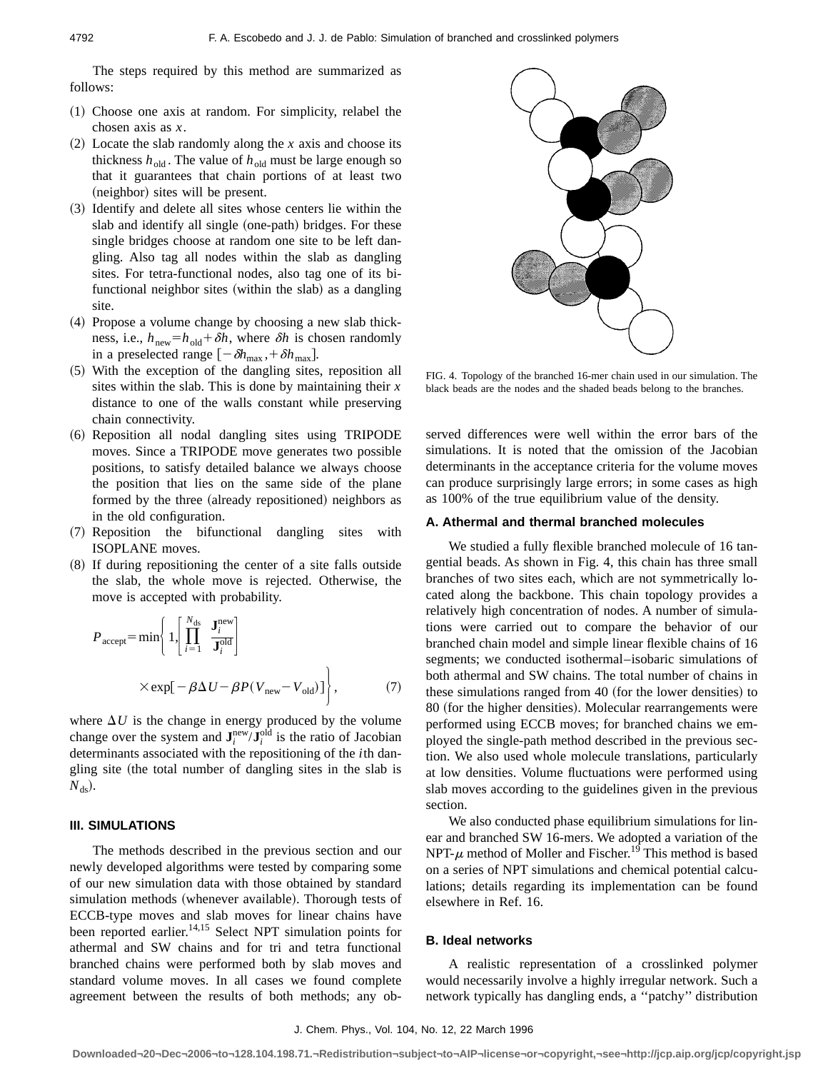The steps required by this method are summarized as follows:

- ~1! Choose one axis at random. For simplicity, relabel the chosen axis as *x*.
- $(2)$  Locate the slab randomly along the *x* axis and choose its thickness  $h_{old}$ . The value of  $h_{old}$  must be large enough so that it guarantees that chain portions of at least two (neighbor) sites will be present.
- ~3! Identify and delete all sites whose centers lie within the slab and identify all single (one-path) bridges. For these single bridges choose at random one site to be left dangling. Also tag all nodes within the slab as dangling sites. For tetra-functional nodes, also tag one of its bifunctional neighbor sites (within the slab) as a dangling site.
- $(4)$  Propose a volume change by choosing a new slab thickness, i.e.,  $h_{\text{new}} = h_{\text{old}} + \delta h$ , where  $\delta h$  is chosen randomly in a preselected range  $[-\delta h_{\text{max}} + \delta h_{\text{max}}]$ .
- ~5! With the exception of the dangling sites, reposition all sites within the slab. This is done by maintaining their *x* distance to one of the walls constant while preserving chain connectivity.
- ~6! Reposition all nodal dangling sites using TRIPODE moves. Since a TRIPODE move generates two possible positions, to satisfy detailed balance we always choose the position that lies on the same side of the plane formed by the three (already repositioned) neighbors as in the old configuration.
- ~7! Reposition the bifunctional dangling sites with ISOPLANE moves.
- $(8)$  If during repositioning the center of a site falls outside the slab, the whole move is rejected. Otherwise, the move is accepted with probability.

$$
P_{\text{accept}} = \min \left\{ 1, \left[ \prod_{i=1}^{N_{\text{ds}}} \frac{\mathbf{J}_i^{\text{new}}}{\mathbf{J}_i^{\text{old}}} \right] \times \exp[-\beta \Delta U - \beta P (V_{\text{new}} - V_{\text{old}})] \right\},\tag{7}
$$

where  $\Delta U$  is the change in energy produced by the volume change over the system and  $J_i^{\text{new}}/J_i^{\text{old}}$  is the ratio of Jacobian determinants associated with the repositioning of the *i*th dangling site (the total number of dangling sites in the slab is  $N_{\rm ds}$ ).

# **III. SIMULATIONS**

The methods described in the previous section and our newly developed algorithms were tested by comparing some of our new simulation data with those obtained by standard simulation methods (whenever available). Thorough tests of ECCB-type moves and slab moves for linear chains have been reported earlier.<sup>14,15</sup> Select NPT simulation points for athermal and SW chains and for tri and tetra functional branched chains were performed both by slab moves and standard volume moves. In all cases we found complete agreement between the results of both methods; any ob-



FIG. 4. Topology of the branched 16-mer chain used in our simulation. The black beads are the nodes and the shaded beads belong to the branches.

served differences were well within the error bars of the simulations. It is noted that the omission of the Jacobian determinants in the acceptance criteria for the volume moves can produce surprisingly large errors; in some cases as high as 100% of the true equilibrium value of the density.

## **A. Athermal and thermal branched molecules**

We studied a fully flexible branched molecule of 16 tangential beads. As shown in Fig. 4, this chain has three small branches of two sites each, which are not symmetrically located along the backbone. This chain topology provides a relatively high concentration of nodes. A number of simulations were carried out to compare the behavior of our branched chain model and simple linear flexible chains of 16 segments; we conducted isothermal–isobaric simulations of both athermal and SW chains. The total number of chains in these simulations ranged from 40 (for the lower densities) to 80 (for the higher densities). Molecular rearrangements were performed using ECCB moves; for branched chains we employed the single-path method described in the previous section. We also used whole molecule translations, particularly at low densities. Volume fluctuations were performed using slab moves according to the guidelines given in the previous section.

We also conducted phase equilibrium simulations for linear and branched SW 16-mers. We adopted a variation of the NPT- $\mu$  method of Moller and Fischer.<sup>19</sup> This method is based on a series of NPT simulations and chemical potential calculations; details regarding its implementation can be found elsewhere in Ref. 16.

## **B. Ideal networks**

A realistic representation of a crosslinked polymer would necessarily involve a highly irregular network. Such a network typically has dangling ends, a ''patchy'' distribution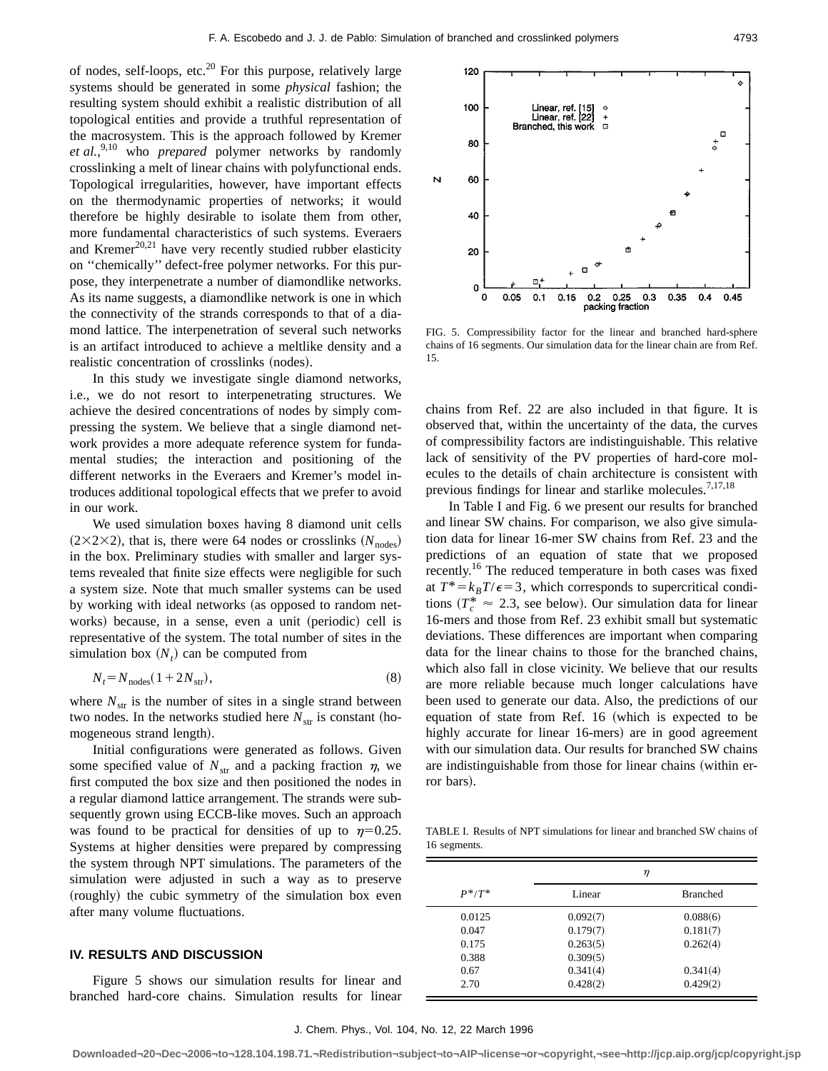of nodes, self-loops, etc.<sup>20</sup> For this purpose, relatively large systems should be generated in some *physical* fashion; the resulting system should exhibit a realistic distribution of all topological entities and provide a truthful representation of the macrosystem. This is the approach followed by Kremer *et al.*, 9,10 who *prepared* polymer networks by randomly crosslinking a melt of linear chains with polyfunctional ends. Topological irregularities, however, have important effects on the thermodynamic properties of networks; it would therefore be highly desirable to isolate them from other, more fundamental characteristics of such systems. Everaers and Kremer<sup>20,21</sup> have very recently studied rubber elasticity on ''chemically'' defect-free polymer networks. For this purpose, they interpenetrate a number of diamondlike networks. As its name suggests, a diamondlike network is one in which the connectivity of the strands corresponds to that of a diamond lattice. The interpenetration of several such networks is an artifact introduced to achieve a meltlike density and a realistic concentration of crosslinks (nodes).

In this study we investigate single diamond networks, i.e., we do not resort to interpenetrating structures. We achieve the desired concentrations of nodes by simply compressing the system. We believe that a single diamond network provides a more adequate reference system for fundamental studies; the interaction and positioning of the different networks in the Everaers and Kremer's model introduces additional topological effects that we prefer to avoid in our work.

We used simulation boxes having 8 diamond unit cells  $(2 \times 2 \times 2)$ , that is, there were 64 nodes or crosslinks  $(N_{nodes})$ in the box. Preliminary studies with smaller and larger systems revealed that finite size effects were negligible for such a system size. Note that much smaller systems can be used by working with ideal networks (as opposed to random networks) because, in a sense, even a unit (periodic) cell is representative of the system. The total number of sites in the simulation box  $(N_t)$  can be computed from

$$
N_t = N_{\text{nodes}}(1 + 2N_{\text{str}}),\tag{8}
$$

where  $N_{\rm str}$  is the number of sites in a single strand between two nodes. In the networks studied here  $N_{\rm str}$  is constant (homogeneous strand length).

Initial configurations were generated as follows. Given some specified value of  $N_{\text{str}}$  and a packing fraction  $\eta$ , we first computed the box size and then positioned the nodes in a regular diamond lattice arrangement. The strands were subsequently grown using ECCB-like moves. Such an approach was found to be practical for densities of up to  $\eta=0.25$ . Systems at higher densities were prepared by compressing the system through NPT simulations. The parameters of the simulation were adjusted in such a way as to preserve (roughly) the cubic symmetry of the simulation box even after many volume fluctuations.

## **IV. RESULTS AND DISCUSSION**

Figure 5 shows our simulation results for linear and branched hard-core chains. Simulation results for linear



FIG. 5. Compressibility factor for the linear and branched hard-sphere chains of 16 segments. Our simulation data for the linear chain are from Ref. 15.

chains from Ref. 22 are also included in that figure. It is observed that, within the uncertainty of the data, the curves of compressibility factors are indistinguishable. This relative lack of sensitivity of the PV properties of hard-core molecules to the details of chain architecture is consistent with previous findings for linear and starlike molecules.<sup>7,17,18</sup>

In Table I and Fig. 6 we present our results for branched and linear SW chains. For comparison, we also give simulation data for linear 16-mer SW chains from Ref. 23 and the predictions of an equation of state that we proposed recently.<sup>16</sup> The reduced temperature in both cases was fixed at  $T^* = k_B T / \epsilon = 3$ , which corresponds to supercritical conditions ( $T_c^* \approx 2.3$ , see below). Our simulation data for linear 16-mers and those from Ref. 23 exhibit small but systematic deviations. These differences are important when comparing data for the linear chains to those for the branched chains, which also fall in close vicinity. We believe that our results are more reliable because much longer calculations have been used to generate our data. Also, the predictions of our equation of state from Ref. 16 (which is expected to be highly accurate for linear 16-mers) are in good agreement with our simulation data. Our results for branched SW chains are indistinguishable from those for linear chains (within error bars).

TABLE I. Results of NPT simulations for linear and branched SW chains of 16 segments.

|           |          | η               |
|-----------|----------|-----------------|
| $P^*/T^*$ | Linear   | <b>Branched</b> |
| 0.0125    | 0.092(7) | 0.088(6)        |
| 0.047     | 0.179(7) | 0.181(7)        |
| 0.175     | 0.263(5) | 0.262(4)        |
| 0.388     | 0.309(5) |                 |
| 0.67      | 0.341(4) | 0.341(4)        |
| 2.70      | 0.428(2) | 0.429(2)        |

J. Chem. Phys., Vol. 104, No. 12, 22 March 1996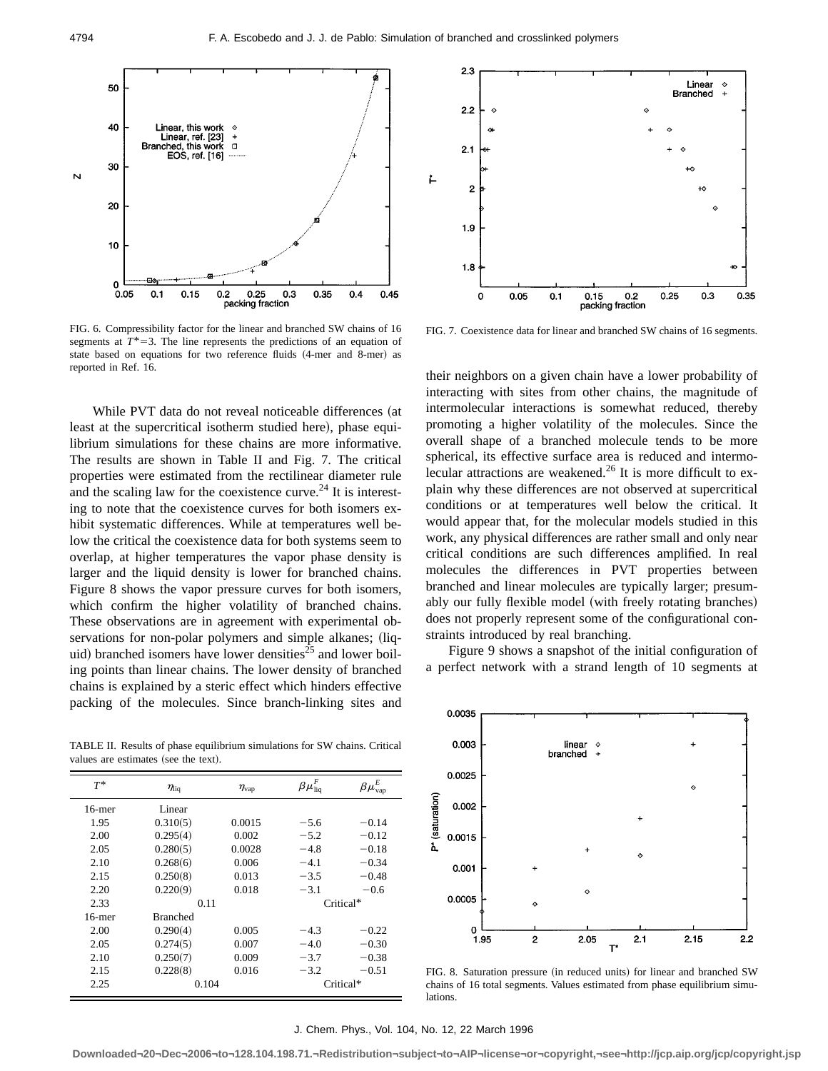

FIG. 6. Compressibility factor for the linear and branched SW chains of 16 segments at  $T^*=3$ . The line represents the predictions of an equation of state based on equations for two reference fluids  $(4$ -mer and 8-mer) as reported in Ref. 16.

While PVT data do not reveal noticeable differences (at least at the supercritical isotherm studied here), phase equilibrium simulations for these chains are more informative. The results are shown in Table II and Fig. 7. The critical properties were estimated from the rectilinear diameter rule and the scaling law for the coexistence curve.<sup>24</sup> It is interesting to note that the coexistence curves for both isomers exhibit systematic differences. While at temperatures well below the critical the coexistence data for both systems seem to overlap, at higher temperatures the vapor phase density is larger and the liquid density is lower for branched chains. Figure 8 shows the vapor pressure curves for both isomers, which confirm the higher volatility of branched chains. These observations are in agreement with experimental observations for non-polar polymers and simple alkanes; (liquid) branched isomers have lower densities<sup>25</sup> and lower boiling points than linear chains. The lower density of branched chains is explained by a steric effect which hinders effective packing of the molecules. Since branch-linking sites and

TABLE II. Results of phase equilibrium simulations for SW chains. Critical values are estimates (see the text).

| $T^*$     | $\eta_{\rm liq}$ | $\eta_{\text{vap}}$ | $\beta\mu_{\rm liq}^F$ | $\beta\mu^E_{\text{vap}}$ |
|-----------|------------------|---------------------|------------------------|---------------------------|
| $16$ -mer | Linear           |                     |                        |                           |
| 1.95      | 0.310(5)         | 0.0015              | $-5.6$                 | $-0.14$                   |
| 2.00      | 0.295(4)         | 0.002               | $-5.2$                 | $-0.12$                   |
| 2.05      | 0.280(5)         | 0.0028              | $-4.8$                 | $-0.18$                   |
| 2.10      | 0.268(6)         | 0.006               | $-4.1$                 | $-0.34$                   |
| 2.15      | 0.250(8)         | 0.013               | $-3.5$                 | $-0.48$                   |
| 2.20      | 0.220(9)         | 0.018               | $-3.1$                 | $-0.6$                    |
| 2.33      | 0.11             |                     | Critical*              |                           |
| $16$ -mer | <b>Branched</b>  |                     |                        |                           |
| 2.00      | 0.290(4)         | 0.005               | $-4.3$                 | $-0.22$                   |
| 2.05      | 0.274(5)         | 0.007               | $-4.0$                 | $-0.30$                   |
| 2.10      | 0.250(7)         | 0.009               | $-3.7$                 | $-0.38$                   |
| 2.15      | 0.228(8)         | 0.016               | $-3.2$                 | $-0.51$                   |
| 2.25      | 0.104            |                     |                        | Critical*                 |



FIG. 7. Coexistence data for linear and branched SW chains of 16 segments.

their neighbors on a given chain have a lower probability of interacting with sites from other chains, the magnitude of intermolecular interactions is somewhat reduced, thereby promoting a higher volatility of the molecules. Since the overall shape of a branched molecule tends to be more spherical, its effective surface area is reduced and intermolecular attractions are weakened.<sup>26</sup> It is more difficult to explain why these differences are not observed at supercritical conditions or at temperatures well below the critical. It would appear that, for the molecular models studied in this work, any physical differences are rather small and only near critical conditions are such differences amplified. In real molecules the differences in PVT properties between branched and linear molecules are typically larger; presumably our fully flexible model (with freely rotating branches) does not properly represent some of the configurational constraints introduced by real branching.

Figure 9 shows a snapshot of the initial configuration of a perfect network with a strand length of 10 segments at



FIG. 8. Saturation pressure (in reduced units) for linear and branched SW chains of 16 total segments. Values estimated from phase equilibrium simulations.

#### J. Chem. Phys., Vol. 104, No. 12, 22 March 1996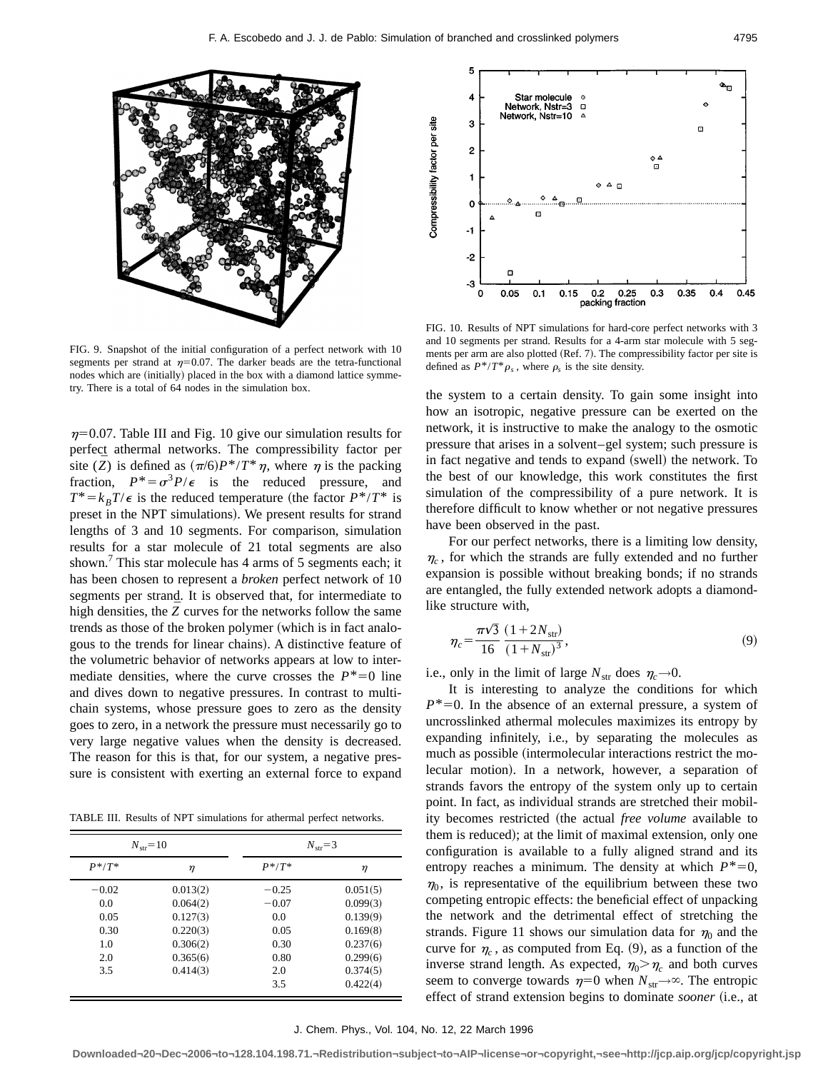

FIG. 9. Snapshot of the initial configuration of a perfect network with 10 segments per strand at  $\eta=0.07$ . The darker beads are the tetra-functional nodes which are (initially) placed in the box with a diamond lattice symmetry. There is a total of 64 nodes in the simulation box.

 $\eta$ =0.07. Table III and Fig. 10 give our simulation results for perfect athermal networks. The compressibility factor per site  $(\bar{Z})$  is defined as  $(\pi/6)P^*/T^*\eta$ , where  $\eta$  is the packing fraction,  $P^* = \sigma^3 P/\epsilon$  is the reduced pressure, and  $T^* = k_B T / \epsilon$  is the reduced temperature (the factor  $P^* / T^*$  is preset in the NPT simulations). We present results for strand lengths of 3 and 10 segments. For comparison, simulation results for a star molecule of 21 total segments are also shown.<sup>7</sup> This star molecule has 4 arms of 5 segments each; it has been chosen to represent a *broken* perfect network of 10 segments per strand. It is observed that, for intermediate to high densities, the  $\bar{Z}$  curves for the networks follow the same trends as those of the broken polymer (which is in fact analogous to the trends for linear chains). A distinctive feature of the volumetric behavior of networks appears at low to intermediate densities, where the curve crosses the  $P^* = 0$  line and dives down to negative pressures. In contrast to multichain systems, whose pressure goes to zero as the density goes to zero, in a network the pressure must necessarily go to very large negative values when the density is decreased. The reason for this is that, for our system, a negative pressure is consistent with exerting an external force to expand

TABLE III. Results of NPT simulations for athermal perfect networks.

|           | $N_{\rm str}$ =10 |           | $N_{\rm str} = 3$ |
|-----------|-------------------|-----------|-------------------|
| $P^*/T^*$ | η                 | $P^*/T^*$ | η                 |
| $-0.02$   | 0.013(2)          | $-0.25$   | 0.051(5)          |
| 0.0       | 0.064(2)          | $-0.07$   | 0.099(3)          |
| 0.05      | 0.127(3)          | 0.0       | 0.139(9)          |
| 0.30      | 0.220(3)          | 0.05      | 0.169(8)          |
| 1.0       | 0.306(2)          | 0.30      | 0.237(6)          |
| 2.0       | 0.365(6)          | 0.80      | 0.299(6)          |
| 3.5       | 0.414(3)          | 2.0       | 0.374(5)          |
|           |                   | 3.5       | 0.422(4)          |



FIG. 10. Results of NPT simulations for hard-core perfect networks with 3 and 10 segments per strand. Results for a 4-arm star molecule with 5 segments per arm are also plotted  $(Ref. 7)$ . The compressibility factor per site is defined as  $P^*/T^*\rho_s$ , where  $\rho_s$  is the site density.

the system to a certain density. To gain some insight into how an isotropic, negative pressure can be exerted on the network, it is instructive to make the analogy to the osmotic pressure that arises in a solvent–gel system; such pressure is in fact negative and tends to expand (swell) the network. To the best of our knowledge, this work constitutes the first simulation of the compressibility of a pure network. It is therefore difficult to know whether or not negative pressures have been observed in the past.

For our perfect networks, there is a limiting low density,  $\eta_c$ , for which the strands are fully extended and no further expansion is possible without breaking bonds; if no strands are entangled, the fully extended network adopts a diamondlike structure with,

$$
\eta_c = \frac{\pi\sqrt{3}}{16} \frac{(1+2N_{\rm str})}{(1+N_{\rm str})^3},\tag{9}
$$

i.e., only in the limit of large  $N_{\rm str}$  does  $\eta_c \rightarrow 0$ .

It is interesting to analyze the conditions for which  $P^*$ =0. In the absence of an external pressure, a system of uncrosslinked athermal molecules maximizes its entropy by expanding infinitely, i.e., by separating the molecules as much as possible (intermolecular interactions restrict the molecular motion). In a network, however, a separation of strands favors the entropy of the system only up to certain point. In fact, as individual strands are stretched their mobility becomes restricted (the actual *free volume* available to them is reduced); at the limit of maximal extension, only one configuration is available to a fully aligned strand and its entropy reaches a minimum. The density at which  $P^* = 0$ ,  $\eta_0$ , is representative of the equilibrium between these two competing entropic effects: the beneficial effect of unpacking the network and the detrimental effect of stretching the strands. Figure 11 shows our simulation data for  $\eta_0$  and the curve for  $\eta_c$ , as computed from Eq. (9), as a function of the inverse strand length. As expected,  $\eta_0 > \eta_c$  and both curves seem to converge towards  $\eta=0$  when  $N_{\rm str}\rightarrow\infty$ . The entropic effect of strand extension begins to dominate *sooner* (i.e., at

#### J. Chem. Phys., Vol. 104, No. 12, 22 March 1996

**Downloaded¬20¬Dec¬2006¬to¬128.104.198.71.¬Redistribution¬subject¬to¬AIP¬license¬or¬copyright,¬see¬http://jcp.aip.org/jcp/copyright.jsp**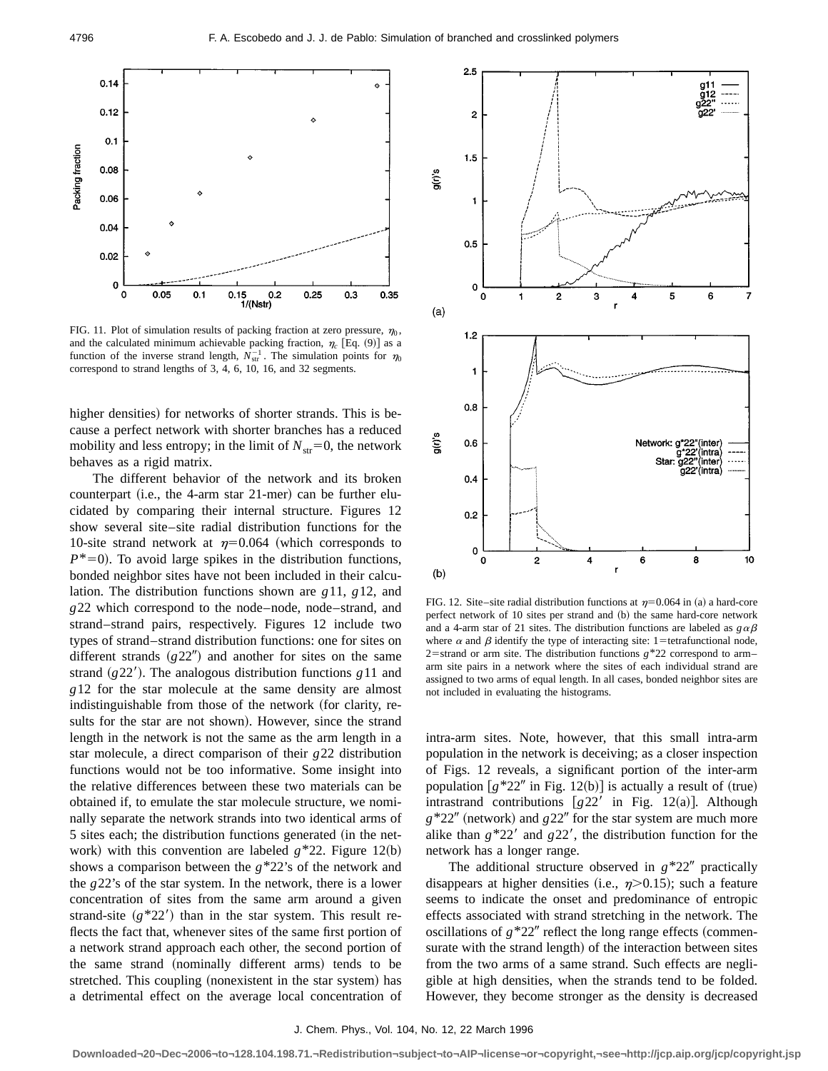

FIG. 11. Plot of simulation results of packing fraction at zero pressure,  $\eta_0$ , and the calculated minimum achievable packing fraction,  $\eta_c$  [Eq. (9)] as a function of the inverse strand length,  $N_{\rm str}^{-1}$ . The simulation points for  $\eta_0$ correspond to strand lengths of 3, 4, 6, 10, 16, and 32 segments.

higher densities) for networks of shorter strands. This is because a perfect network with shorter branches has a reduced mobility and less entropy; in the limit of  $N_{\rm str}=0$ , the network behaves as a rigid matrix.

The different behavior of the network and its broken counterpart  $(i.e., the 4-arm star 21-mer)$  can be further elucidated by comparing their internal structure. Figures 12 show several site–site radial distribution functions for the 10-site strand network at  $\eta=0.064$  (which corresponds to  $P^*$ =0). To avoid large spikes in the distribution functions, bonded neighbor sites have not been included in their calculation. The distribution functions shown are *g*11, *g*12, and *g*22 which correspond to the node–node, node–strand, and strand–strand pairs, respectively. Figures 12 include two types of strand–strand distribution functions: one for sites on different strands  $(g22'')$  and another for sites on the same strand  $(g22)$ . The analogous distribution functions  $g11$  and *g*12 for the star molecule at the same density are almost indistinguishable from those of the network (for clarity, results for the star are not shown). However, since the strand length in the network is not the same as the arm length in a star molecule, a direct comparison of their *g*22 distribution functions would not be too informative. Some insight into the relative differences between these two materials can be obtained if, to emulate the star molecule structure, we nominally separate the network strands into two identical arms of 5 sites each; the distribution functions generated (in the network) with this convention are labeled  $g^*22$ . Figure 12(b) shows a comparison between the *g*\*22's of the network and the *g*22's of the star system. In the network, there is a lower concentration of sites from the same arm around a given strand-site  $(g * 22')$  than in the star system. This result reflects the fact that, whenever sites of the same first portion of a network strand approach each other, the second portion of the same strand (nominally different arms) tends to be stretched. This coupling (nonexistent in the star system) has a detrimental effect on the average local concentration of



FIG. 12. Site–site radial distribution functions at  $\eta=0.064$  in (a) a hard-core perfect network of  $10$  sites per strand and  $(b)$  the same hard-core network and a 4-arm star of 21 sites. The distribution functions are labeled as  $g \alpha \beta$ where  $\alpha$  and  $\beta$  identify the type of interacting site: 1=tetrafunctional node, 2=strand or arm site. The distribution functions  $g*22$  correspond to arm– arm site pairs in a network where the sites of each individual strand are assigned to two arms of equal length. In all cases, bonded neighbor sites are not included in evaluating the histograms.

intra-arm sites. Note, however, that this small intra-arm population in the network is deceiving; as a closer inspection of Figs. 12 reveals, a significant portion of the inter-arm population  $[g * 22"$  in Fig. 12(b)] is actually a result of (true) intrastrand contributions  $[g22'$  in Fig. 12(a)]. Although  $g^*22''$  (network) and  $g22''$  for the star system are much more alike than  $g^*22'$  and  $g22'$ , the distribution function for the network has a longer range.

The additional structure observed in  $g*22''$  practically disappears at higher densities (i.e.,  $\eta$ >0.15); such a feature seems to indicate the onset and predominance of entropic effects associated with strand stretching in the network. The oscillations of  $g^*22''$  reflect the long range effects (commensurate with the strand length) of the interaction between sites from the two arms of a same strand. Such effects are negligible at high densities, when the strands tend to be folded. However, they become stronger as the density is decreased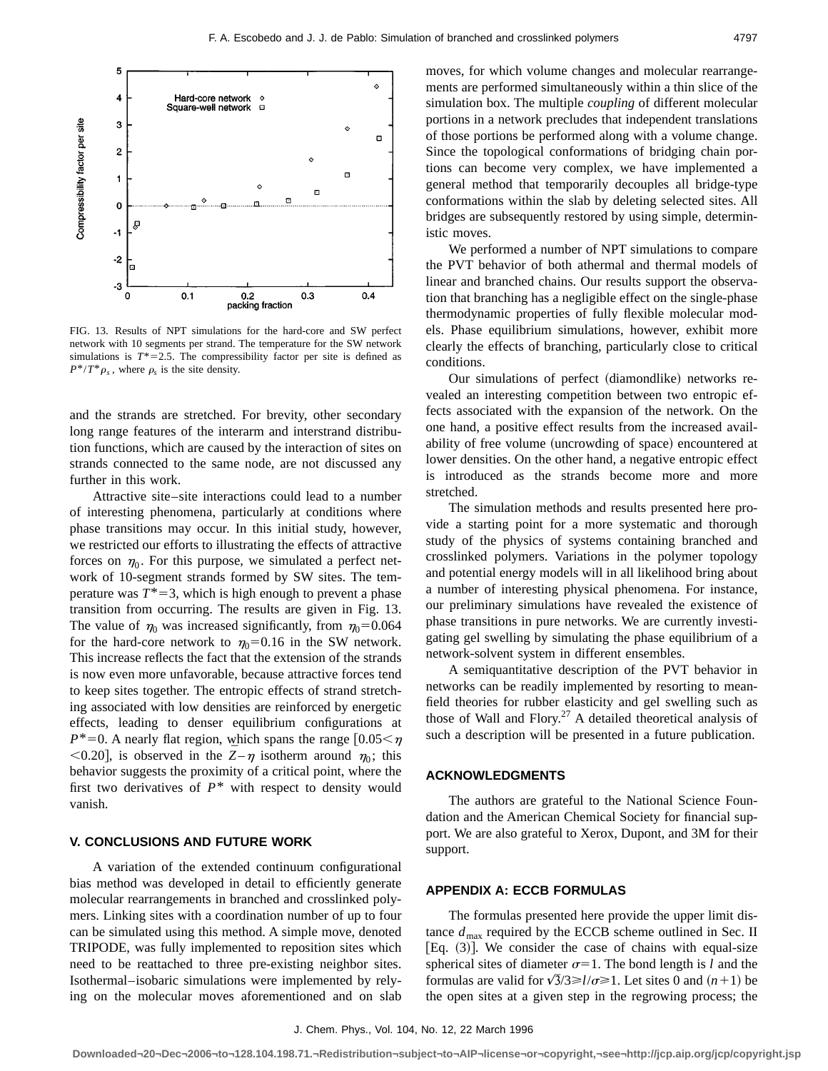

FIG. 13. Results of NPT simulations for the hard-core and SW perfect network with 10 segments per strand. The temperature for the SW network simulations is  $T^*=2.5$ . The compressibility factor per site is defined as  $P^*/T^*\rho_s$ , where  $\rho_s$  is the site density.

and the strands are stretched. For brevity, other secondary long range features of the interarm and interstrand distribution functions, which are caused by the interaction of sites on strands connected to the same node, are not discussed any further in this work.

Attractive site–site interactions could lead to a number of interesting phenomena, particularly at conditions where phase transitions may occur. In this initial study, however, we restricted our efforts to illustrating the effects of attractive forces on  $\eta_0$ . For this purpose, we simulated a perfect network of 10-segment strands formed by SW sites. The temperature was  $T^*=3$ , which is high enough to prevent a phase transition from occurring. The results are given in Fig. 13. The value of  $\eta_0$  was increased significantly, from  $\eta_0=0.064$ for the hard-core network to  $\eta_0=0.16$  in the SW network. This increase reflects the fact that the extension of the strands is now even more unfavorable, because attractive forces tend to keep sites together. The entropic effects of strand stretching associated with low densities are reinforced by energetic effects, leading to denser equilibrium configurations at  $P^*$ =0. A nearly flat region, which spans the range  $[0.05<\eta]$ <0.20], is observed in the  $\bar{Z} - \eta$  isotherm around  $\eta_0$ ; this behavior suggests the proximity of a critical point, where the first two derivatives of  $P^*$  with respect to density would vanish.

## **V. CONCLUSIONS AND FUTURE WORK**

A variation of the extended continuum configurational bias method was developed in detail to efficiently generate molecular rearrangements in branched and crosslinked polymers. Linking sites with a coordination number of up to four can be simulated using this method. A simple move, denoted TRIPODE, was fully implemented to reposition sites which need to be reattached to three pre-existing neighbor sites. Isothermal–isobaric simulations were implemented by relying on the molecular moves aforementioned and on slab moves, for which volume changes and molecular rearrangements are performed simultaneously within a thin slice of the simulation box. The multiple *coupling* of different molecular portions in a network precludes that independent translations of those portions be performed along with a volume change. Since the topological conformations of bridging chain portions can become very complex, we have implemented a general method that temporarily decouples all bridge-type conformations within the slab by deleting selected sites. All bridges are subsequently restored by using simple, deterministic moves.

We performed a number of NPT simulations to compare the PVT behavior of both athermal and thermal models of linear and branched chains. Our results support the observation that branching has a negligible effect on the single-phase thermodynamic properties of fully flexible molecular models. Phase equilibrium simulations, however, exhibit more clearly the effects of branching, particularly close to critical conditions.

Our simulations of perfect (diamondlike) networks revealed an interesting competition between two entropic effects associated with the expansion of the network. On the one hand, a positive effect results from the increased availability of free volume (uncrowding of space) encountered at lower densities. On the other hand, a negative entropic effect is introduced as the strands become more and more stretched.

The simulation methods and results presented here provide a starting point for a more systematic and thorough study of the physics of systems containing branched and crosslinked polymers. Variations in the polymer topology and potential energy models will in all likelihood bring about a number of interesting physical phenomena. For instance, our preliminary simulations have revealed the existence of phase transitions in pure networks. We are currently investigating gel swelling by simulating the phase equilibrium of a network-solvent system in different ensembles.

A semiquantitative description of the PVT behavior in networks can be readily implemented by resorting to meanfield theories for rubber elasticity and gel swelling such as those of Wall and Flory.<sup>27</sup> A detailed theoretical analysis of such a description will be presented in a future publication.

## **ACKNOWLEDGMENTS**

The authors are grateful to the National Science Foundation and the American Chemical Society for financial support. We are also grateful to Xerox, Dupont, and 3M for their support.

### **APPENDIX A: ECCB FORMULAS**

The formulas presented here provide the upper limit distance  $d_{\text{max}}$  required by the ECCB scheme outlined in Sec. II  $[Eq. (3)]$ . We consider the case of chains with equal-size spherical sites of diameter  $\sigma=1$ . The bond length is *l* and the formulas are valid for  $\sqrt{3}/3 \ge l/\sigma \ge 1$ . Let sites 0 and  $(n+1)$  be the open sites at a given step in the regrowing process; the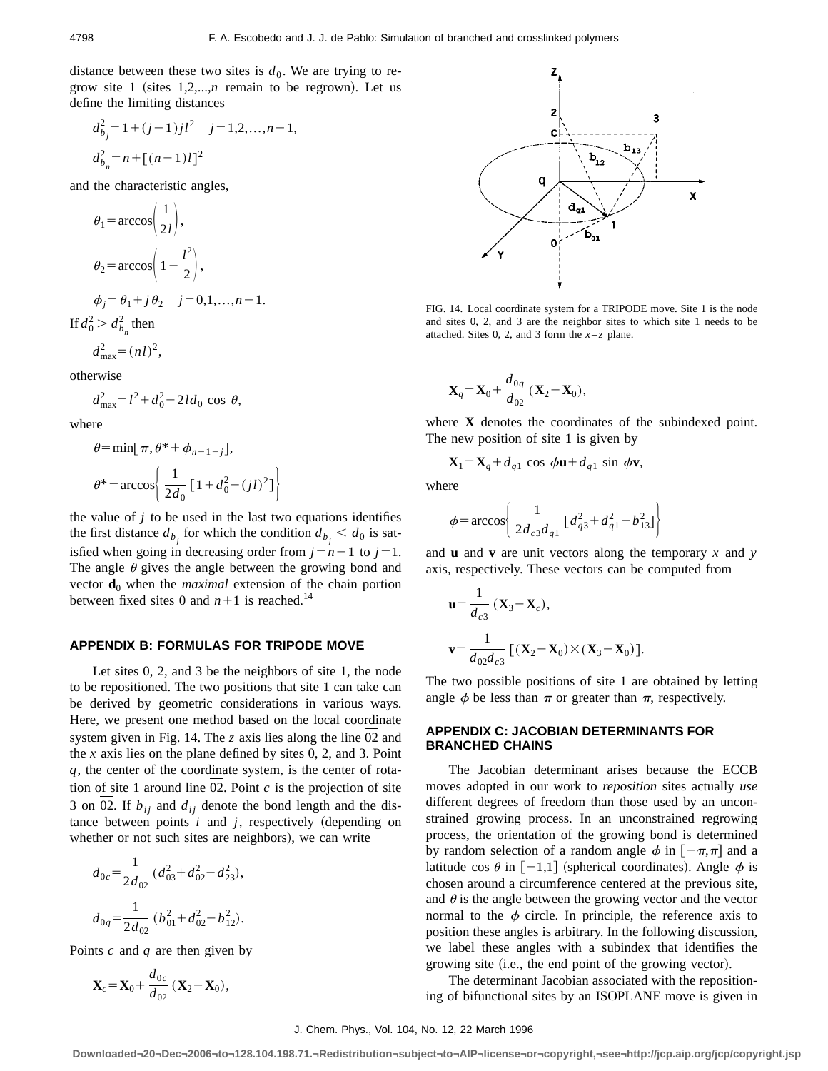distance between these two sites is  $d_0$ . We are trying to regrow site 1 (sites  $1,2,...,n$  remain to be regrown). Let us define the limiting distances

$$
d_{b_j}^2 = 1 + (j - 1)j l^2 \quad j = 1, 2, ..., n - 1,
$$
  

$$
d_{b_n}^2 = n + [(n - 1)l]^2
$$

and the characteristic angles,

$$
\theta_1 = \arccos\left(\frac{1}{2l}\right),
$$
  
\n
$$
\theta_2 = \arccos\left(1 - \frac{l^2}{2}\right),
$$
  
\n
$$
\phi_j = \theta_1 + j\,\theta_2 \quad j = 0, 1, ..., n - 1.
$$
  
\n
$$
d_0^2 > d_{b_n}^2 \text{ then }
$$
  
\n
$$
d_{\text{max}}^2 = (nl)^2,
$$

otherwise

$$
d_{\max}^2 = l^2 + d_0^2 - 2ld_0 \cos \theta,
$$

where

If *d*<sup>0</sup>

$$
\theta = \min[\pi, \theta^* + \phi_{n-1-j}],
$$

$$
\theta^* = \arccos\left\{\frac{1}{2d_0} \left[1 + d_0^2 - (jl)^2\right]\right\}
$$

the value of  $j$  to be used in the last two equations identifies the first distance  $d_{b_j}$  for which the condition  $d_{b_j} < d_0$  is satisfied when going in decreasing order from  $j=n-1$  to  $j=1$ . The angle  $\theta$  gives the angle between the growing bond and vector  $\mathbf{d}_0$  when the *maximal* extension of the chain portion between fixed sites 0 and  $n+1$  is reached.<sup>14</sup>

## **APPENDIX B: FORMULAS FOR TRIPODE MOVE**

Let sites 0, 2, and 3 be the neighbors of site 1, the node to be repositioned. The two positions that site 1 can take can be derived by geometric considerations in various ways. Here, we present one method based on the local coordinate system given in Fig. 14. The *z* axis lies along the line 02 and the *x* axis lies on the plane defined by sites 0, 2, and 3. Point *q*, the center of the coordinate system, is the center of rotation of site 1 around line 02. Point  $c$  is the projection of site 3 on 02. If  $b_{ij}$  and  $d_{ij}$  denote the bond length and the distance between points  $i$  and  $j$ , respectively (depending on whether or not such sites are neighbors), we can write

$$
d_{0c} = \frac{1}{2d_{02}} \left( d_{03}^2 + d_{02}^2 - d_{23}^2 \right),
$$
  

$$
d_{0q} = \frac{1}{2d_{02}} \left( b_{01}^2 + d_{02}^2 - b_{12}^2 \right).
$$

Points *c* and *q* are then given by

$$
\mathbf{X}_c = \mathbf{X}_0 + \frac{d_{0c}}{d_{02}} (\mathbf{X}_2 - \mathbf{X}_0),
$$



FIG. 14. Local coordinate system for a TRIPODE move. Site 1 is the node and sites 0, 2, and 3 are the neighbor sites to which site 1 needs to be attached. Sites 0, 2, and 3 form the  $x-z$  plane.

$$
\mathbf{X}_q = \mathbf{X}_0 + \frac{d_{0q}}{d_{02}} (\mathbf{X}_2 - \mathbf{X}_0),
$$

where **X** denotes the coordinates of the subindexed point. The new position of site 1 is given by

$$
\mathbf{X}_1 = \mathbf{X}_q + d_{q1} \cos \phi \mathbf{u} + d_{q1} \sin \phi \mathbf{v},
$$

where

$$
\phi = \arccos\left\{\frac{1}{2d_{c3}d_{q1}}\left[d_{q3}^{2} + d_{q1}^{2} - b_{13}^{2}\right]\right\}
$$

and **u** and **v** are unit vectors along the temporary *x* and *y* axis, respectively. These vectors can be computed from

$$
\mathbf{u} = \frac{1}{d_{c3}} (\mathbf{X}_3 - \mathbf{X}_c),
$$
  

$$
\mathbf{v} = \frac{1}{d_{02}d_{c3}} [(\mathbf{X}_2 - \mathbf{X}_0) \times (\mathbf{X}_3 - \mathbf{X}_0)].
$$

The two possible positions of site 1 are obtained by letting angle  $\phi$  be less than  $\pi$  or greater than  $\pi$ , respectively.

# **APPENDIX C: JACOBIAN DETERMINANTS FOR BRANCHED CHAINS**

The Jacobian determinant arises because the ECCB moves adopted in our work to *reposition* sites actually *use* different degrees of freedom than those used by an unconstrained growing process. In an unconstrained regrowing process, the orientation of the growing bond is determined by random selection of a random angle  $\phi$  in  $[-\pi,\pi]$  and a latitude cos  $\theta$  in  $[-1,1]$  (spherical coordinates). Angle  $\phi$  is chosen around a circumference centered at the previous site, and  $\theta$  is the angle between the growing vector and the vector normal to the  $\phi$  circle. In principle, the reference axis to position these angles is arbitrary. In the following discussion, we label these angles with a subindex that identifies the growing site (i.e., the end point of the growing vector).

The determinant Jacobian associated with the repositioning of bifunctional sites by an ISOPLANE move is given in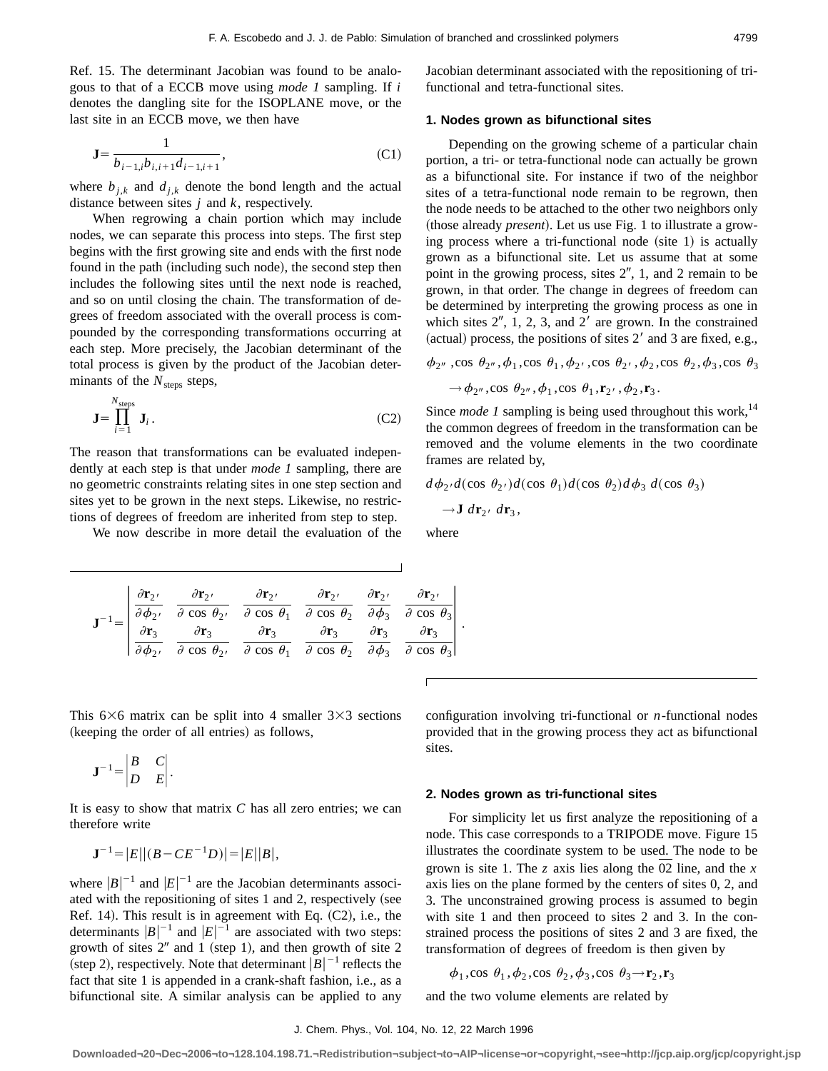Ref. 15. The determinant Jacobian was found to be analogous to that of a ECCB move using *mode 1* sampling. If *i* denotes the dangling site for the ISOPLANE move, or the last site in an ECCB move, we then have

$$
\mathbf{J} = \frac{1}{b_{i-1,i}b_{i,i+1}d_{i-1,i+1}},\tag{C1}
$$

where  $b_{i,k}$  and  $d_{i,k}$  denote the bond length and the actual distance between sites *j* and *k*, respectively.

When regrowing a chain portion which may include nodes, we can separate this process into steps. The first step begins with the first growing site and ends with the first node found in the path (including such node), the second step then includes the following sites until the next node is reached, and so on until closing the chain. The transformation of degrees of freedom associated with the overall process is compounded by the corresponding transformations occurring at each step. More precisely, the Jacobian determinant of the total process is given by the product of the Jacobian determinants of the  $N_{\text{steps}}$  steps,

$$
\mathbf{J} = \prod_{i=1}^{N_{\text{steps}}} \mathbf{J}_i. \tag{C2}
$$

The reason that transformations can be evaluated independently at each step is that under *mode 1* sampling, there are no geometric constraints relating sites in one step section and sites yet to be grown in the next steps. Likewise, no restrictions of degrees of freedom are inherited from step to step.

We now describe in more detail the evaluation of the

$$
\mathbf{J}^{-1} = \begin{bmatrix} \frac{\partial \mathbf{r}_{2'}}{\partial \phi_{2'}} & \frac{\partial \mathbf{r}_{2'}}{\partial \cos \theta_{2'}} & \frac{\partial \mathbf{r}_{2'}}{\partial \cos \theta_{1}} & \frac{\partial \mathbf{r}_{2'}}{\partial \cos \theta_{2}} & \frac{\partial \mathbf{r}_{2'}}{\partial \phi_{3}} & \frac{\partial \mathbf{r}_{2'}}{\partial \cos \theta_{3}} \\ \frac{\partial \mathbf{r}_{3}}{\partial \phi_{2'}} & \frac{\partial \mathbf{r}_{3}}{\partial \cos \theta_{2'}} & \frac{\partial \mathbf{r}_{3}}{\partial \cos \theta_{1}} & \frac{\partial \mathbf{r}_{3}}{\partial \cos \theta_{2}} & \frac{\partial \mathbf{r}_{3}}{\partial \phi_{3}} & \frac{\partial \mathbf{r}_{3}}{\partial \cos \theta_{3}} \end{bmatrix}.
$$

Jacobian determinant associated with the repositioning of trifunctional and tetra-functional sites.

#### **1. Nodes grown as bifunctional sites**

Depending on the growing scheme of a particular chain portion, a tri- or tetra-functional node can actually be grown as a bifunctional site. For instance if two of the neighbor sites of a tetra-functional node remain to be regrown, then the node needs to be attached to the other two neighbors only (those already *present*). Let us use Fig. 1 to illustrate a growing process where a tri-functional node (site  $1$ ) is actually grown as a bifunctional site. Let us assume that at some point in the growing process, sites  $2''$ , 1, and 2 remain to be grown, in that order. The change in degrees of freedom can be determined by interpreting the growing process as one in which sites  $2^{\prime\prime}$ , 1, 2, 3, and  $2^{\prime}$  are grown. In the constrained (actual) process, the positions of sites  $2'$  and 3 are fixed, e.g.,

$$
\phi_{2''}
$$
,  $\cos \theta_{2''}$ ,  $\phi_1$ ,  $\cos \theta_1$ ,  $\phi_{2'}$ ,  $\cos \theta_2$ ,  $\phi_2$ ,  $\cos \theta_2$ ,  $\phi_3$ ,  $\cos \theta_3$ 

$$
\rightarrow \phi_{2^{\prime\prime}}, \cos \theta_{2^{\prime\prime}}, \phi_1, \cos \theta_1, \mathbf{r}_{2^{\prime}}, \phi_2, \mathbf{r}_3.
$$

Since *mode 1* sampling is being used throughout this work,  $14$ the common degrees of freedom in the transformation can be removed and the volume elements in the two coordinate frames are related by,

$$
d\phi_2 \cdot d(\cos \theta_2 \cdot) d(\cos \theta_1) d(\cos \theta_2) d\phi_3 d(\cos \theta_3)
$$

$$
\rightarrow \mathbf{J} \; d\mathbf{r}_2 \; d\mathbf{r}_3 \,,
$$

where

 $\overline{1}$ 

|  | $\mathbf{J}^{-1} = \begin{bmatrix} \frac{\partial \mathbf{r}_{2'}}{\partial \phi_{2'}} & \frac{\partial \mathbf{r}_{2'}}{\partial \cos \theta_{2'}} & \frac{\partial \mathbf{r}_{2'}}{\partial \cos \theta_{1}} & \frac{\partial \mathbf{r}_{2'}}{\partial \cos \theta_{2}} & \frac{\partial \mathbf{r}_{2'}}{\partial \phi_{3}} & \frac{\partial \mathbf{r}_{2'}}{\partial \cos \theta_{3}} \\ \frac{\partial \mathbf{r}_{3}}{\partial \phi_{2'}} & \frac{\partial \mathbf{r}_{3}}{\partial \cos \theta_{2'}} & \frac{\partial \mathbf{r}_{3}}{\partial \cos \theta_{1}} & \frac{\partial \mathbf{r}_{3}}$ |  |  |
|--|-------------------------------------------------------------------------------------------------------------------------------------------------------------------------------------------------------------------------------------------------------------------------------------------------------------------------------------------------------------------------------------------------------------------------------------------------------------------------------------------------------------------------------------------------------------------------------------------------------------|--|--|

This  $6\times6$  matrix can be split into 4 smaller  $3\times3$  sections (keeping the order of all entries) as follows,

$$
\mathbf{J}^{-1} = \begin{vmatrix} B & C \\ D & E \end{vmatrix}.
$$

It is easy to show that matrix *C* has all zero entries; we can therefore write

$$
\mathbf{J}^{-1} = |E| |(B - CE^{-1}D)| = |E||B|,
$$

where  $|B|^{-1}$  and  $|E|^{-1}$  are the Jacobian determinants associated with the repositioning of sites  $1$  and  $2$ , respectively (see Ref. 14). This result is in agreement with Eq.  $(C2)$ , i.e., the determinants  $|B|^{-1}$  and  $|E|^{-1}$  are associated with two steps: growth of sites  $2<sup>n</sup>$  and 1 (step 1), and then growth of site 2 (step 2), respectively. Note that determinant  $|B|^{-1}$  reflects the fact that site 1 is appended in a crank-shaft fashion, i.e., as a bifunctional site. A similar analysis can be applied to any configuration involving tri-functional or *n*-functional nodes provided that in the growing process they act as bifunctional sites.

# **2. Nodes grown as tri-functional sites**

For simplicity let us first analyze the repositioning of a node. This case corresponds to a TRIPODE move. Figure 15 illustrates the coordinate system to be used. The node to be grown is site 1. The *z* axis lies along the 02 line, and the *x* axis lies on the plane formed by the centers of sites 0, 2, and 3. The unconstrained growing process is assumed to begin with site 1 and then proceed to sites 2 and 3. In the constrained process the positions of sites 2 and 3 are fixed, the transformation of degrees of freedom is then given by

$$
\phi_1
$$
,  $\cos \theta_1$ ,  $\phi_2$ ,  $\cos \theta_2$ ,  $\phi_3$ ,  $\cos \theta_3 \rightarrow \mathbf{r}_2$ ,  $\mathbf{r}_3$ 

and the two volume elements are related by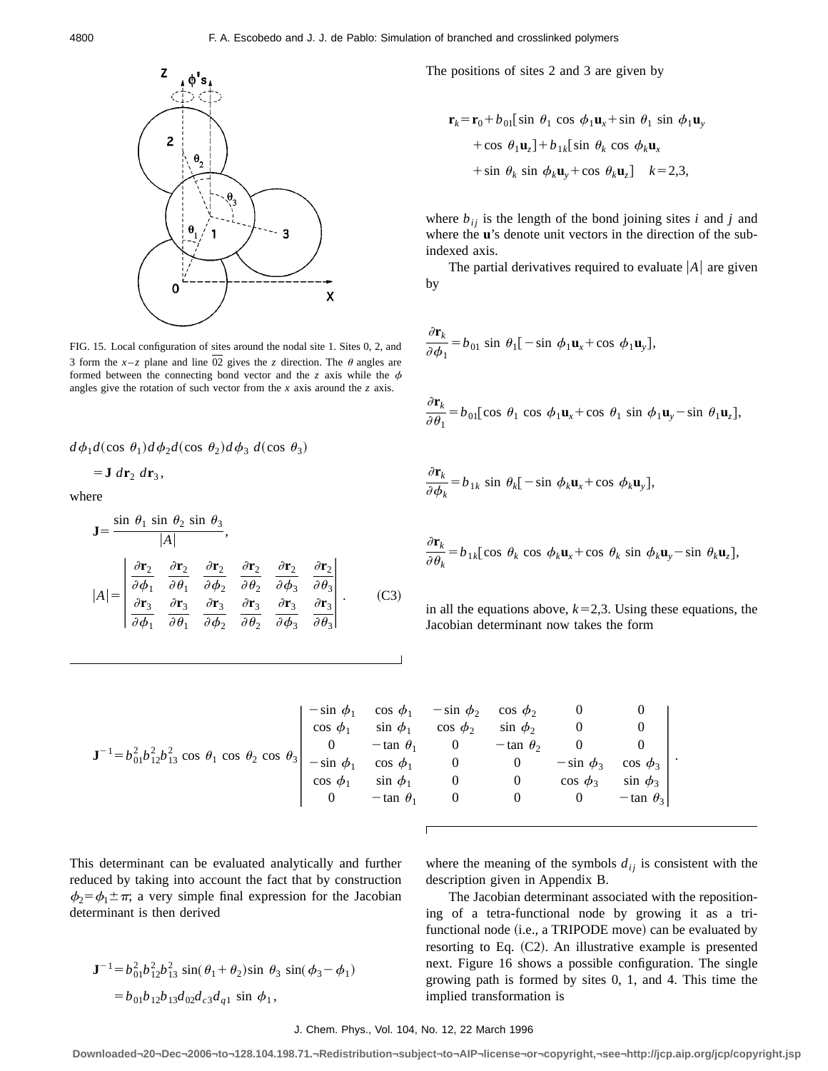

FIG. 15. Local configuration of sites around the nodal site 1. Sites 0, 2, and 3 form the  $x-z$  plane and line 02 gives the *z* direction. The  $\theta$  angles are formed between the connecting bond vector and the *z* axis while the  $\phi$ angles give the rotation of such vector from the *x* axis around the *z* axis.

$$
d\phi_1 d(\cos \theta_1) d\phi_2 d(\cos \theta_2) d\phi_3 d(\cos \theta_3)
$$

$$
=\mathbf{J}\;d\mathbf{r}_2\;d\mathbf{r}_3,
$$

where

$$
\mathbf{J} = \frac{\sin \theta_1 \sin \theta_2 \sin \theta_3}{|A|},
$$
\n
$$
|A| = \begin{vmatrix}\n\frac{\partial \mathbf{r}_2}{\partial \phi_1} & \frac{\partial \mathbf{r}_2}{\partial \theta_1} & \frac{\partial \mathbf{r}_2}{\partial \phi_2} & \frac{\partial \mathbf{r}_2}{\partial \theta_2} & \frac{\partial \mathbf{r}_2}{\partial \phi_3} & \frac{\partial \mathbf{r}_2}{\partial \theta_3} \\
\frac{\partial \mathbf{r}_3}{\partial \phi_1} & \frac{\partial \mathbf{r}_3}{\partial \theta_1} & \frac{\partial \mathbf{r}_3}{\partial \phi_2} & \frac{\partial \mathbf{r}_3}{\partial \theta_2} & \frac{\partial \mathbf{r}_3}{\partial \phi_3} & \frac{\partial \mathbf{r}_3}{\partial \theta_3}\n\end{vmatrix}.
$$
\n(C3)

The positions of sites 
$$
2
$$
 and  $3$  are given by

$$
\mathbf{r}_{k} = \mathbf{r}_{0} + b_{01} [\sin \theta_{1} \cos \phi_{1} \mathbf{u}_{x} + \sin \theta_{1} \sin \phi_{1} \mathbf{u}_{y} + \cos \theta_{1} \mathbf{u}_{z}] + b_{1k} [\sin \theta_{k} \cos \phi_{k} \mathbf{u}_{x} + \sin \theta_{k} \sin \phi_{k} \mathbf{u}_{y} + \cos \theta_{k} \mathbf{u}_{z}] \quad k = 2,3,
$$

where  $b_{ij}$  is the length of the bond joining sites *i* and *j* and where the **u**'s denote unit vectors in the direction of the subindexed axis.

The partial derivatives required to evaluate  $|A|$  are given by

$$
\frac{\partial \mathbf{r}_k}{\partial \phi_1} = b_{01} \sin \theta_1 [-\sin \phi_1 \mathbf{u}_x + \cos \phi_1 \mathbf{u}_y],
$$

$$
\frac{\partial \mathbf{r}_k}{\partial \theta_1} = b_{01} [\cos \theta_1 \cos \phi_1 \mathbf{u}_x + \cos \theta_1 \sin \phi_1 \mathbf{u}_y - \sin \theta_1 \mathbf{u}_z],
$$

$$
\frac{\partial \mathbf{r}_k}{\partial \phi_k} = b_{1k} \sin \theta_k [-\sin \phi_k \mathbf{u}_x + \cos \phi_k \mathbf{u}_y],
$$

$$
\frac{\partial \mathbf{r}_k}{\partial \theta_k} = b_{1k} [\cos \theta_k \cos \phi_k \mathbf{u}_x + \cos \theta_k \sin \phi_k \mathbf{u}_y - \sin \theta_k \mathbf{u}_z],
$$

in all the equations above,  $k=2,3$ . Using these equations, the Jacobian determinant now takes the form

$$
\mathbf{J}^{-1} = b_{01}^2 b_{12}^2 b_{13}^2 \cos \theta_1 \cos \theta_2 \cos \theta_3 \begin{vmatrix} -\sin \phi_1 & \cos \phi_1 \\ \cos \phi_1 & \sin \phi_1 \\ 0 & -\tan \theta_1 \\ -\sin \phi_1 & \cos \phi_1 \\ \cos \phi_1 & \sin \phi_1 \\ 0 & -\tan \theta_1 \end{vmatrix}
$$

| $-\sin \phi_2$ | $\cos \phi_2$    |                |                  |  |
|----------------|------------------|----------------|------------------|--|
| $\cos \phi_2$  | $\sin \phi_2$    |                |                  |  |
|                | $-\tan \theta_2$ |                |                  |  |
|                |                  | $-\sin \phi_3$ | $\cos \phi_3$    |  |
|                |                  | $\cos \phi_3$  | $\sin \phi_3$    |  |
|                |                  |                | $-\tan \theta_3$ |  |
|                |                  |                |                  |  |

This determinant can be evaluated analytically and further reduced by taking into account the fact that by construction  $\phi_2 = \phi_1 \pm \pi$ ; a very simple final expression for the Jacobian determinant is then derived

$$
\mathbf{J}^{-1} = b_{01}^2 b_{12}^2 b_{13}^2 \sin(\theta_1 + \theta_2) \sin \theta_3 \sin(\phi_3 - \phi_1)
$$
  
=  $b_{01}b_{12}b_{13}d_{02}d_{c3}d_{q1} \sin \phi_1$ ,

where the meaning of the symbols  $d_{ij}$  is consistent with the description given in Appendix B.

The Jacobian determinant associated with the repositioning of a tetra-functional node by growing it as a trifunctional node (i.e., a TRIPODE move) can be evaluated by resorting to Eq.  $(C2)$ . An illustrative example is presented next. Figure 16 shows a possible configuration. The single growing path is formed by sites 0, 1, and 4. This time the implied transformation is

 $\overline{1}$